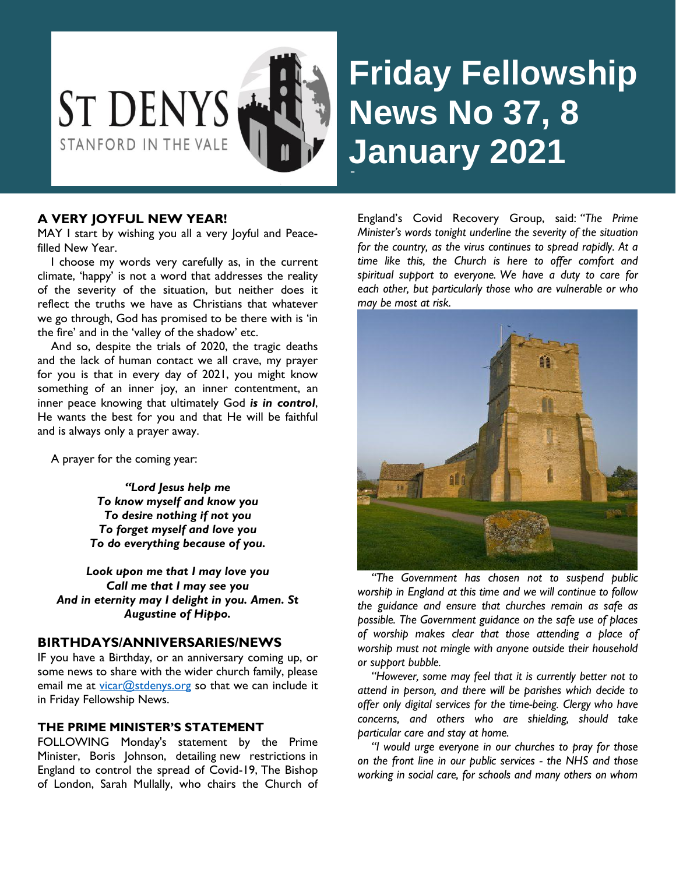

# **Friday Fellowship News No 37, 8 January 2021** -

## **A VERY JOYFUL NEW YEAR!**

MAY I start by wishing you all a very Joyful and Peacefilled New Year.

 I choose my words very carefully as, in the current climate, 'happy' is not a word that addresses the reality of the severity of the situation, but neither does it reflect the truths we have as Christians that whatever we go through, God has promised to be there with is 'in the fire' and in the 'valley of the shadow' etc.

 And so, despite the trials of 2020, the tragic deaths and the lack of human contact we all crave, my prayer for you is that in every day of 2021, you might know something of an inner joy, an inner contentment, an inner peace knowing that ultimately God *is in control*, He wants the best for you and that He will be faithful and is always only a prayer away.

A prayer for the coming year:

*"Lord Jesus help me To know myself and know you To desire nothing if not you To forget myself and love you To do everything because of you.*

*Look upon me that I may love you Call me that I may see you And in eternity may I delight in you. Amen. St Augustine of Hippo.*

## **BIRTHDAYS/ANNIVERSARIES/NEWS**

IF you have a Birthday, or an anniversary coming up, or some news to share with the wider church family, please email me at [vicar@stdenys.org](mailto:vicar@stdenys.org) so that we can include it in Friday Fellowship News.

#### **THE PRIME MINISTER'S STATEMENT**

FOLLOWING Monday's statement by the Prime Minister, Boris Johnson, detailing [new restrictions](https://www.gov.uk/guidance/national-lockdown-stay-at-home) in England to control the spread of Covid-19, The Bishop of London, Sarah Mullally, who chairs the Church of England's Covid Recovery Group, said: *"The Prime Minister's words tonight underline the severity of the situation for the country, as the virus continues to spread rapidly. At a time like this, the Church is here to offer comfort and spiritual support to everyone. We have a duty to care for each other, but particularly those who are vulnerable or who may be most at risk.*



 *"The Government has chosen not to suspend public worship in England at this time and we will continue to follow the guidance and ensure that churches remain as safe as possible. The Government guidance on the safe use of places of worship makes clear that those attending a place of worship must not mingle with anyone outside their household or support bubble.*

 *"However, some may feel that it is currently better not to attend in person, and there will be parishes which decide to offer only digital services for the time-being. Clergy who have concerns, and others who are shielding, should take particular care and stay at home.*

 *"I would urge everyone in our churches to pray for those on the front line in our public services - the NHS and those working in social care, for schools and many others on whom*